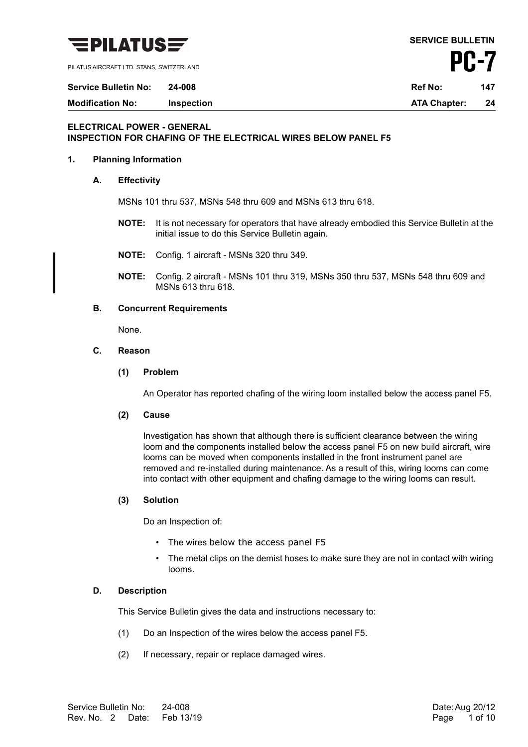

PILATUS AIRCRAFT LTD. STANS, SWITZERLAND

**Service Bulletin No: 24-008 Ref No: 147** 

**Modification No: Inspection ATA Chapter: 24**

# **ELECTRICAL POWER - GENERAL INSPECTION FOR CHAFING OF THE ELECTRICAL WIRES BELOW PANEL F5**

# **1. Planning Information**

# **A. Effectivity**

MSNs 101 thru 537, MSNs 548 thru 609 and MSNs 613 thru 618.

- **NOTE:** It is not necessary for operators that have already embodied this Service Bulletin at the initial issue to do this Service Bulletin again.
- **NOTE:** Config. 1 aircraft MSNs 320 thru 349.
- **NOTE:** Config. 2 aircraft MSNs 101 thru 319, MSNs 350 thru 537, MSNs 548 thru 609 and MSNs 613 thru 618.

# **B. Concurrent Requirements**

None.

# **C. Reason**

## **(1) Problem**

An Operator has reported chafing of the wiring loom installed below the access panel F5.

# **(2) Cause**

Investigation has shown that although there is sufficient clearance between the wiring loom and the components installed below the access panel F5 on new build aircraft, wire looms can be moved when components installed in the front instrument panel are removed and re-installed during maintenance. As a result of this, wiring looms can come into contact with other equipment and chafing damage to the wiring looms can result.

### **(3) Solution**

Do an Inspection of:

- The wires below the access panel F5
- The metal clips on the demist hoses to make sure they are not in contact with wiring looms.

# **D. Description**

This Service Bulletin gives the data and instructions necessary to:

- (1) Do an Inspection of the wires below the access panel F5.
- (2) If necessary, repair or replace damaged wires.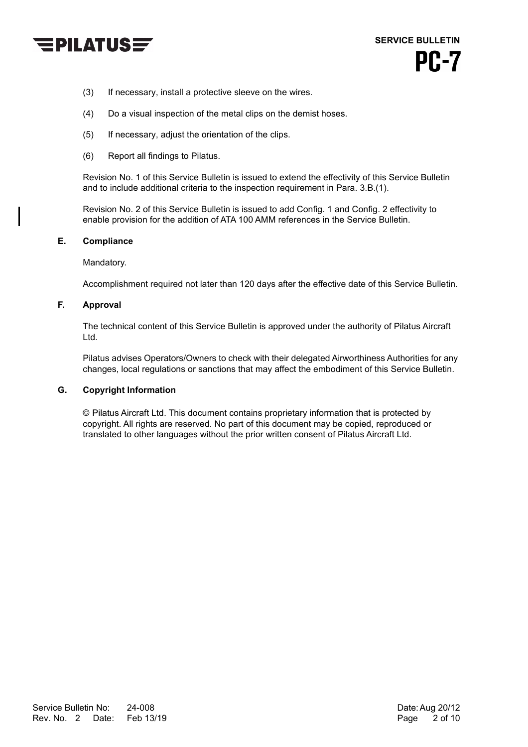



- (3) If necessary, install a protective sleeve on the wires.
- (4) Do a visual inspection of the metal clips on the demist hoses.
- (5) If necessary, adjust the orientation of the clips.
- (6) Report all findings to Pilatus.

Revision No. 1 of this Service Bulletin is issued to extend the effectivity of this Service Bulletin and to include additional criteria to the inspection requirement in Para. 3.B.(1).

Revision No. 2 of this Service Bulletin is issued to add Config. 1 and Config. 2 effectivity to enable provision for the addition of ATA 100 AMM references in the Service Bulletin.

### **E. Compliance**

Mandatory.

Accomplishment required not later than 120 days after the effective date of this Service Bulletin.

### **F. Approval**

The technical content of this Service Bulletin is approved under the authority of Pilatus Aircraft Ltd.

Pilatus advises Operators/Owners to check with their delegated Airworthiness Authorities for any changes, local regulations or sanctions that may affect the embodiment of this Service Bulletin.

### **G. Copyright Information**

© Pilatus Aircraft Ltd. This document contains proprietary information that is protected by copyright. All rights are reserved. No part of this document may be copied, reproduced or translated to other languages without the prior written consent of Pilatus Aircraft Ltd.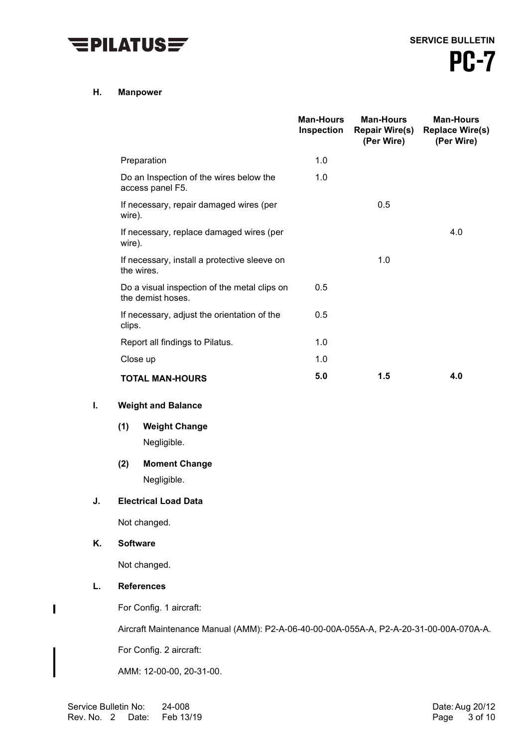

**H. Manpower** 

|    |        |                                                                   | <b>Man-Hours</b><br>Inspection | <b>Man-Hours</b><br><b>Repair Wire(s)</b><br>(Per Wire) | <b>Man-Hours</b><br><b>Replace Wire(s)</b><br>(Per Wire) |
|----|--------|-------------------------------------------------------------------|--------------------------------|---------------------------------------------------------|----------------------------------------------------------|
|    |        | Preparation                                                       | 1.0                            |                                                         |                                                          |
|    |        | Do an Inspection of the wires below the<br>access panel F5.       | 1.0                            |                                                         |                                                          |
|    | wire). | If necessary, repair damaged wires (per                           |                                | 0.5                                                     |                                                          |
|    | wire). | If necessary, replace damaged wires (per                          |                                |                                                         | 4.0                                                      |
|    |        | If necessary, install a protective sleeve on<br>the wires.        |                                | 1.0                                                     |                                                          |
|    |        | Do a visual inspection of the metal clips on<br>the demist hoses. | 0.5                            |                                                         |                                                          |
|    | clips. | If necessary, adjust the orientation of the                       | 0.5                            |                                                         |                                                          |
|    |        | Report all findings to Pilatus.                                   | 1.0                            |                                                         |                                                          |
|    |        | Close up                                                          | 1.0                            |                                                         |                                                          |
|    |        | <b>TOTAL MAN-HOURS</b>                                            | 5.0                            | 1.5                                                     | 4.0                                                      |
| I. |        | <b>Weight and Balance</b>                                         |                                |                                                         |                                                          |
|    | (1)    | <b>Weight Change</b>                                              |                                |                                                         |                                                          |
|    |        | Negligible.                                                       |                                |                                                         |                                                          |
|    | (2)    | <b>Moment Change</b>                                              |                                |                                                         |                                                          |
|    |        | Negligible.                                                       |                                |                                                         |                                                          |

# **J. Electrical Load Data**

Not changed.

# **K. Software**

Not changed.

# **L. References**

 $\overline{\phantom{a}}$ 

For Config. 1 aircraft:

Aircraft Maintenance Manual (AMM): P2-A-06-40-00-00A-055A-A, P2-A-20-31-00-00A-070A-A.

For Config. 2 aircraft:

AMM: 12-00-00, 20-31-00.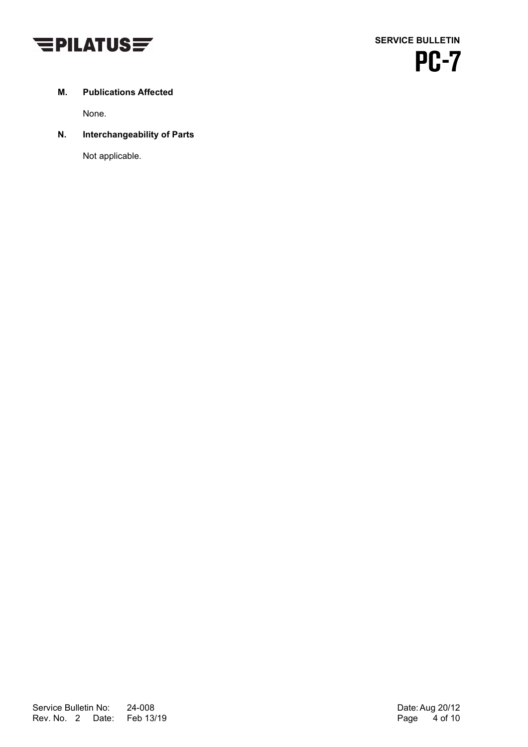



# **M. Publications Affected**

None.

**N. Interchangeability of Parts**

Not applicable.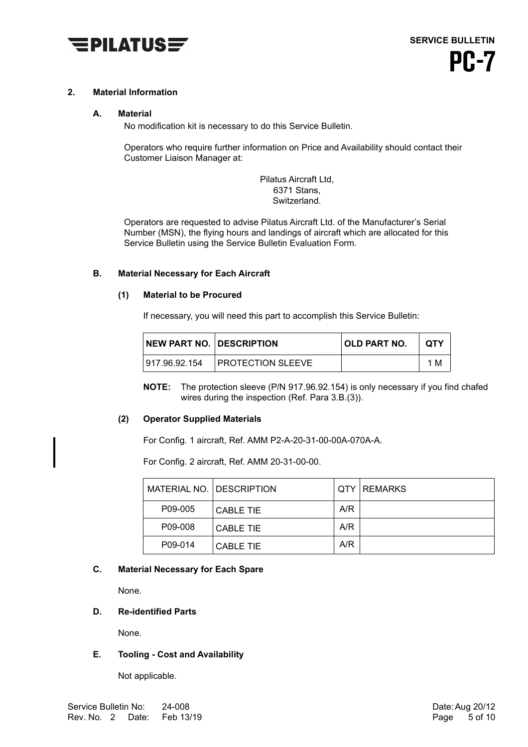

### **2. Material Information**

### **A. Material**

No modification kit is necessary to do this Service Bulletin.

Operators who require further information on Price and Availability should contact their Customer Liaison Manager at:

> Pilatus Aircraft Ltd, 6371 Stans, Switzerland.

Operators are requested to advise Pilatus Aircraft Ltd. of the Manufacturer's Serial Number (MSN), the flying hours and landings of aircraft which are allocated for this Service Bulletin using the Service Bulletin Evaluation Form.

### **B. Material Necessary for Each Aircraft**

### **(1) Material to be Procured**

If necessary, you will need this part to accomplish this Service Bulletin:

| NEW PART NO. DESCRIPTION |                            | <b>OLD PART NO.</b> | OTY |
|--------------------------|----------------------------|---------------------|-----|
| 917.96.92.154            | <b>I PROTECTION SLEEVE</b> |                     |     |

**NOTE:** The protection sleeve (P/N 917.96.92.154) is only necessary if you find chafed wires during the inspection (Ref. Para 3.B.(3)).

# **(2) Operator Supplied Materials**

For Config. 1 aircraft, Ref. AMM P2-A-20-31-00-00A-070A-A.

For Config. 2 aircraft, Ref. AMM 20-31-00-00.

| MATERIAL NO.   DESCRIPTION |                  |     | <b>QTY IREMARKS</b> |
|----------------------------|------------------|-----|---------------------|
| P09-005                    | <b>CABLE TIE</b> | A/R |                     |
| P09-008                    | <b>CABLE TIE</b> | A/R |                     |
| P09-014                    | <b>CABLE TIE</b> | A/R |                     |

# **C. Material Necessary for Each Spare**

None.

# **D. Re-identified Parts**

None.

# **E. Tooling - Cost and Availability**

Not applicable.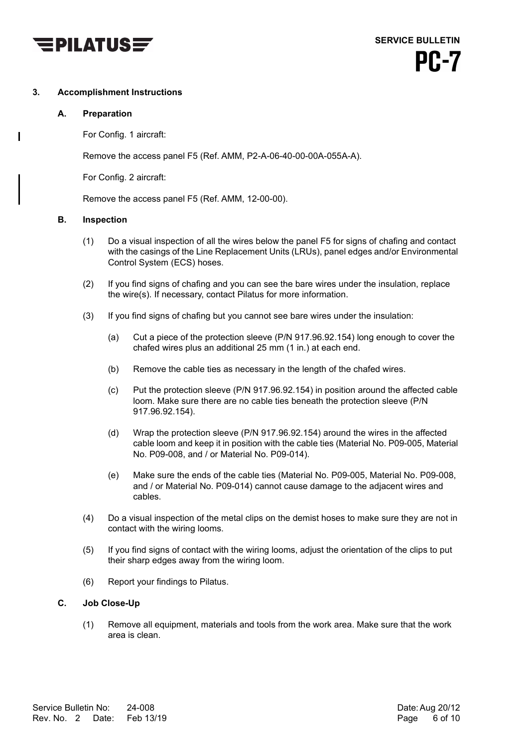

### **3. Accomplishment Instructions**

### **A. Preparation**

For Config. 1 aircraft:

Remove the access panel F5 (Ref. AMM, P2-A-06-40-00-00A-055A-A).

For Config. 2 aircraft:

Remove the access panel F5 (Ref. AMM, 12-00-00).

# **B. Inspection**

- (1) Do a visual inspection of all the wires below the panel F5 for signs of chafing and contact with the casings of the Line Replacement Units (LRUs), panel edges and/or Environmental Control System (ECS) hoses.
- (2) If you find signs of chafing and you can see the bare wires under the insulation, replace the wire(s). If necessary, contact Pilatus for more information.
- (3) If you find signs of chafing but you cannot see bare wires under the insulation:
	- (a) Cut a piece of the protection sleeve (P/N 917.96.92.154) long enough to cover the chafed wires plus an additional 25 mm (1 in.) at each end.
	- (b) Remove the cable ties as necessary in the length of the chafed wires.
	- (c) Put the protection sleeve (P/N 917.96.92.154) in position around the affected cable loom. Make sure there are no cable ties beneath the protection sleeve (P/N 917.96.92.154).
	- (d) Wrap the protection sleeve (P/N 917.96.92.154) around the wires in the affected cable loom and keep it in position with the cable ties (Material No. P09-005, Material No. P09-008, and / or Material No. P09-014).
	- (e) Make sure the ends of the cable ties (Material No. P09-005, Material No. P09-008, and / or Material No. P09-014) cannot cause damage to the adjacent wires and cables.
- (4) Do a visual inspection of the metal clips on the demist hoses to make sure they are not in contact with the wiring looms.
- (5) If you find signs of contact with the wiring looms, adjust the orientation of the clips to put their sharp edges away from the wiring loom.
- (6) Report your findings to Pilatus.

# **C. Job Close-Up**

(1) Remove all equipment, materials and tools from the work area. Make sure that the work area is clean.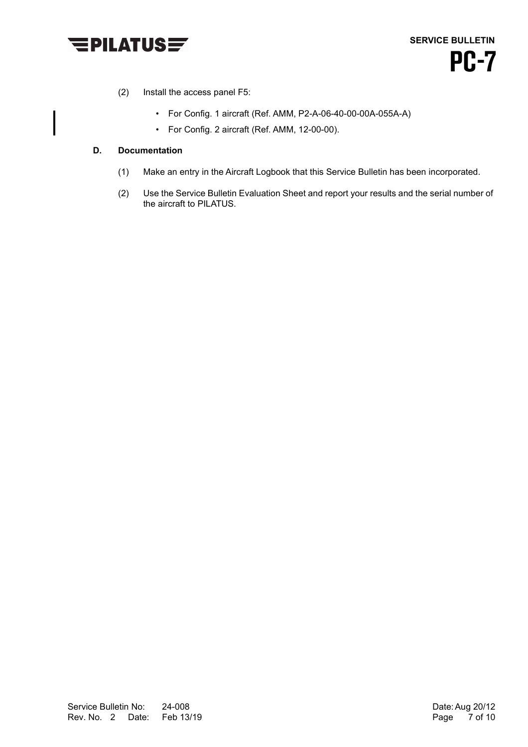

- (2) Install the access panel F5:
	- For Config. 1 aircraft (Ref. AMM, P2-A-06-40-00-00A-055A-A)
	- For Config. 2 aircraft (Ref. AMM, 12-00-00).

# **D. Documentation**

- (1) Make an entry in the Aircraft Logbook that this Service Bulletin has been incorporated.
- (2) Use the Service Bulletin Evaluation Sheet and report your results and the serial number of the aircraft to PILATUS.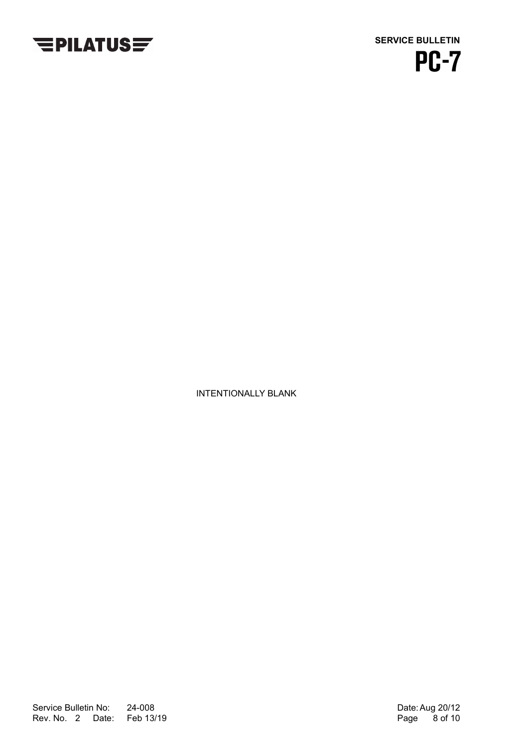



INTENTIONALLY BLANK

Service Bulletin No: 24-008 Date: Aug 20/12 Rev. No. 2 Date: Feb 13/19 Page 8 of 10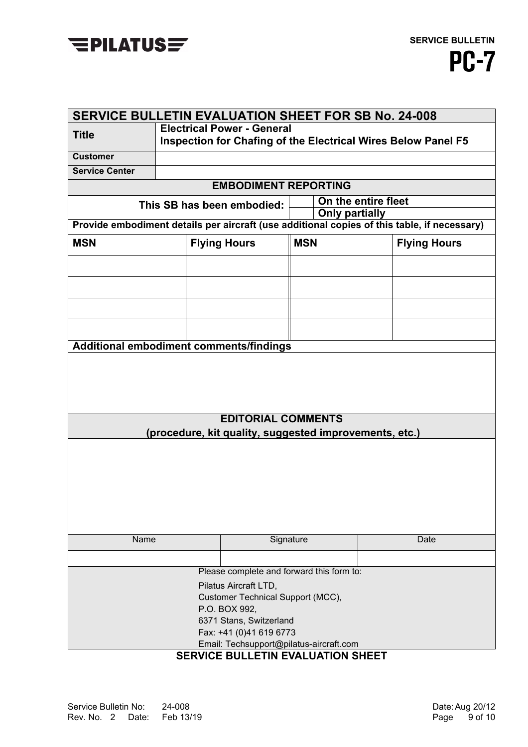

| <b>SERVICE BULLETIN EVALUATION SHEET FOR SB No. 24-008</b>                          |                                                                                                    |                                   |  |                                                                                             |  |  |
|-------------------------------------------------------------------------------------|----------------------------------------------------------------------------------------------------|-----------------------------------|--|---------------------------------------------------------------------------------------------|--|--|
| <b>Title</b>                                                                        | <b>Electrical Power - General</b><br>Inspection for Chafing of the Electrical Wires Below Panel F5 |                                   |  |                                                                                             |  |  |
| <b>Customer</b>                                                                     |                                                                                                    |                                   |  |                                                                                             |  |  |
| <b>Service Center</b>                                                               |                                                                                                    |                                   |  |                                                                                             |  |  |
| <b>EMBODIMENT REPORTING</b>                                                         |                                                                                                    |                                   |  |                                                                                             |  |  |
|                                                                                     | This SB has been embodied:                                                                         |                                   |  | On the entire fleet                                                                         |  |  |
|                                                                                     |                                                                                                    | <b>Only partially</b>             |  |                                                                                             |  |  |
|                                                                                     |                                                                                                    |                                   |  | Provide embodiment details per aircraft (use additional copies of this table, if necessary) |  |  |
| <b>MSN</b>                                                                          |                                                                                                    | <b>Flying Hours</b><br><b>MSN</b> |  | <b>Flying Hours</b>                                                                         |  |  |
|                                                                                     |                                                                                                    |                                   |  |                                                                                             |  |  |
|                                                                                     |                                                                                                    |                                   |  |                                                                                             |  |  |
|                                                                                     |                                                                                                    |                                   |  |                                                                                             |  |  |
|                                                                                     |                                                                                                    |                                   |  |                                                                                             |  |  |
|                                                                                     |                                                                                                    |                                   |  |                                                                                             |  |  |
| <b>Additional embodiment comments/findings</b>                                      |                                                                                                    |                                   |  |                                                                                             |  |  |
|                                                                                     |                                                                                                    |                                   |  |                                                                                             |  |  |
|                                                                                     |                                                                                                    |                                   |  |                                                                                             |  |  |
|                                                                                     |                                                                                                    |                                   |  |                                                                                             |  |  |
|                                                                                     |                                                                                                    |                                   |  |                                                                                             |  |  |
|                                                                                     |                                                                                                    |                                   |  |                                                                                             |  |  |
| <b>EDITORIAL COMMENTS</b><br>(procedure, kit quality, suggested improvements, etc.) |                                                                                                    |                                   |  |                                                                                             |  |  |
|                                                                                     |                                                                                                    |                                   |  |                                                                                             |  |  |
|                                                                                     |                                                                                                    |                                   |  |                                                                                             |  |  |
|                                                                                     |                                                                                                    |                                   |  |                                                                                             |  |  |
|                                                                                     |                                                                                                    |                                   |  |                                                                                             |  |  |
|                                                                                     |                                                                                                    |                                   |  |                                                                                             |  |  |
|                                                                                     |                                                                                                    |                                   |  |                                                                                             |  |  |
|                                                                                     |                                                                                                    |                                   |  |                                                                                             |  |  |
| Name                                                                                |                                                                                                    | Signature                         |  | Date                                                                                        |  |  |
|                                                                                     |                                                                                                    |                                   |  |                                                                                             |  |  |
| Please complete and forward this form to:                                           |                                                                                                    |                                   |  |                                                                                             |  |  |
| Pilatus Aircraft LTD,                                                               |                                                                                                    |                                   |  |                                                                                             |  |  |
| Customer Technical Support (MCC),                                                   |                                                                                                    |                                   |  |                                                                                             |  |  |
| P.O. BOX 992,                                                                       |                                                                                                    |                                   |  |                                                                                             |  |  |
| 6371 Stans, Switzerland                                                             |                                                                                                    |                                   |  |                                                                                             |  |  |
|                                                                                     | Fax: +41 (0)41 619 6773                                                                            |                                   |  |                                                                                             |  |  |
| Email: Techsupport@pilatus-aircraft.com                                             |                                                                                                    |                                   |  |                                                                                             |  |  |
| SERVICE BULLETIN EVALUATION SHEET                                                   |                                                                                                    |                                   |  |                                                                                             |  |  |